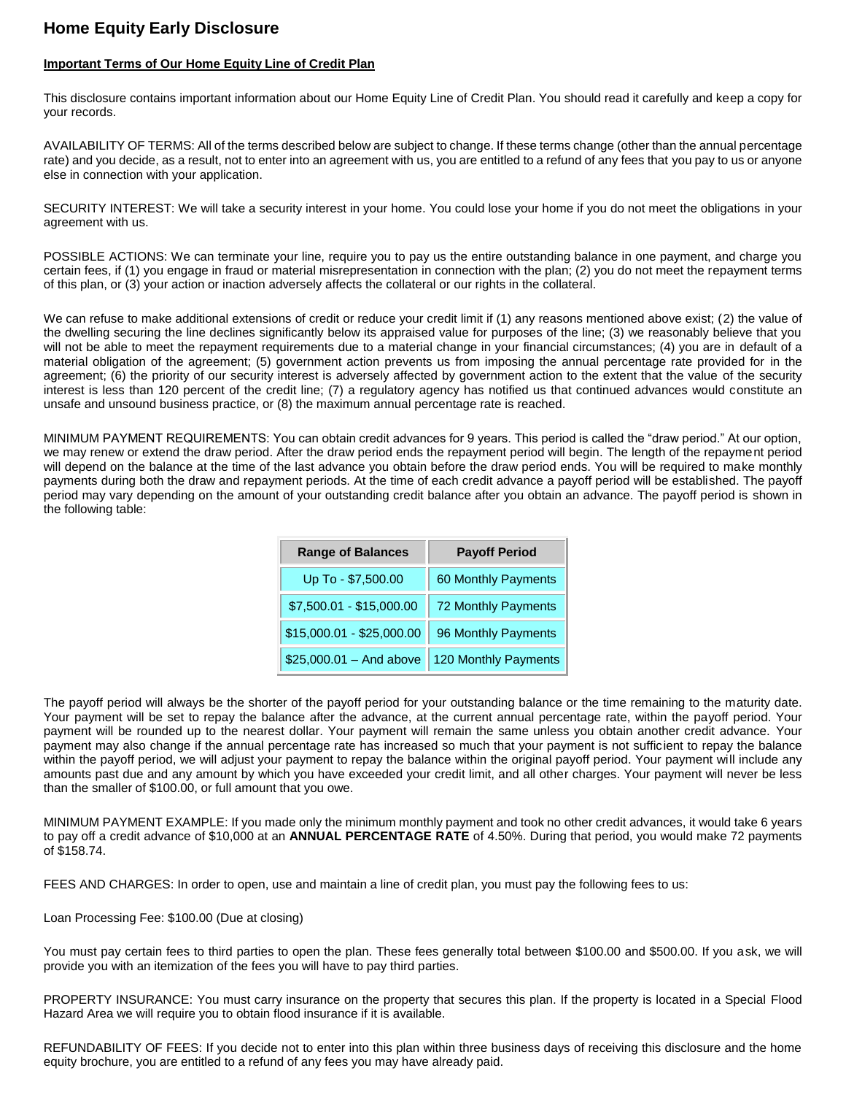## **Home Equity Early Disclosure**

## **Important Terms of Our Home Equity Line of Credit Plan**

This disclosure contains important information about our Home Equity Line of Credit Plan. You should read it carefully and keep a copy for your records.

AVAILABILITY OF TERMS: All of the terms described below are subject to change. If these terms change (other than the annual percentage rate) and you decide, as a result, not to enter into an agreement with us, you are entitled to a refund of any fees that you pay to us or anyone else in connection with your application.

SECURITY INTEREST: We will take a security interest in your home. You could lose your home if you do not meet the obligations in your agreement with us.

POSSIBLE ACTIONS: We can terminate your line, require you to pay us the entire outstanding balance in one payment, and charge you certain fees, if (1) you engage in fraud or material misrepresentation in connection with the plan; (2) you do not meet the repayment terms of this plan, or (3) your action or inaction adversely affects the collateral or our rights in the collateral.

We can refuse to make additional extensions of credit or reduce your credit limit if (1) any reasons mentioned above exist; (2) the value of the dwelling securing the line declines significantly below its appraised value for purposes of the line; (3) we reasonably believe that you will not be able to meet the repayment requirements due to a material change in your financial circumstances; (4) you are in default of a material obligation of the agreement; (5) government action prevents us from imposing the annual percentage rate provided for in the agreement; (6) the priority of our security interest is adversely affected by government action to the extent that the value of the security interest is less than 120 percent of the credit line; (7) a regulatory agency has notified us that continued advances would constitute an unsafe and unsound business practice, or (8) the maximum annual percentage rate is reached.

MINIMUM PAYMENT REQUIREMENTS: You can obtain credit advances for 9 years. This period is called the "draw period." At our option, we may renew or extend the draw period. After the draw period ends the repayment period will begin. The length of the repayment period will depend on the balance at the time of the last advance you obtain before the draw period ends. You will be required to make monthly payments during both the draw and repayment periods. At the time of each credit advance a payoff period will be established. The payoff period may vary depending on the amount of your outstanding credit balance after you obtain an advance. The payoff period is shown in the following table:

| <b>Range of Balances</b>  | <b>Payoff Period</b> |  |
|---------------------------|----------------------|--|
| Up To - \$7,500.00        | 60 Monthly Payments  |  |
| \$7,500.01 - \$15,000.00  | 72 Monthly Payments  |  |
| \$15,000.01 - \$25,000.00 | 96 Monthly Payments  |  |
| $$25,000.01 - And above$  | 120 Monthly Payments |  |

The payoff period will always be the shorter of the payoff period for your outstanding balance or the time remaining to the maturity date. Your payment will be set to repay the balance after the advance, at the current annual percentage rate, within the payoff period. Your payment will be rounded up to the nearest dollar. Your payment will remain the same unless you obtain another credit advance. Your payment may also change if the annual percentage rate has increased so much that your payment is not sufficient to repay the balance within the payoff period, we will adjust your payment to repay the balance within the original payoff period. Your payment will include any amounts past due and any amount by which you have exceeded your credit limit, and all other charges. Your payment will never be less than the smaller of \$100.00, or full amount that you owe.

MINIMUM PAYMENT EXAMPLE: If you made only the minimum monthly payment and took no other credit advances, it would take 6 years to pay off a credit advance of \$10,000 at an **ANNUAL PERCENTAGE RATE** of 4.50%. During that period, you would make 72 payments of \$158.74.

FEES AND CHARGES: In order to open, use and maintain a line of credit plan, you must pay the following fees to us:

Loan Processing Fee: \$100.00 (Due at closing)

You must pay certain fees to third parties to open the plan. These fees generally total between \$100.00 and \$500.00. If you ask, we will provide you with an itemization of the fees you will have to pay third parties.

PROPERTY INSURANCE: You must carry insurance on the property that secures this plan. If the property is located in a Special Flood Hazard Area we will require you to obtain flood insurance if it is available.

REFUNDABILITY OF FEES: If you decide not to enter into this plan within three business days of receiving this disclosure and the home equity brochure, you are entitled to a refund of any fees you may have already paid.